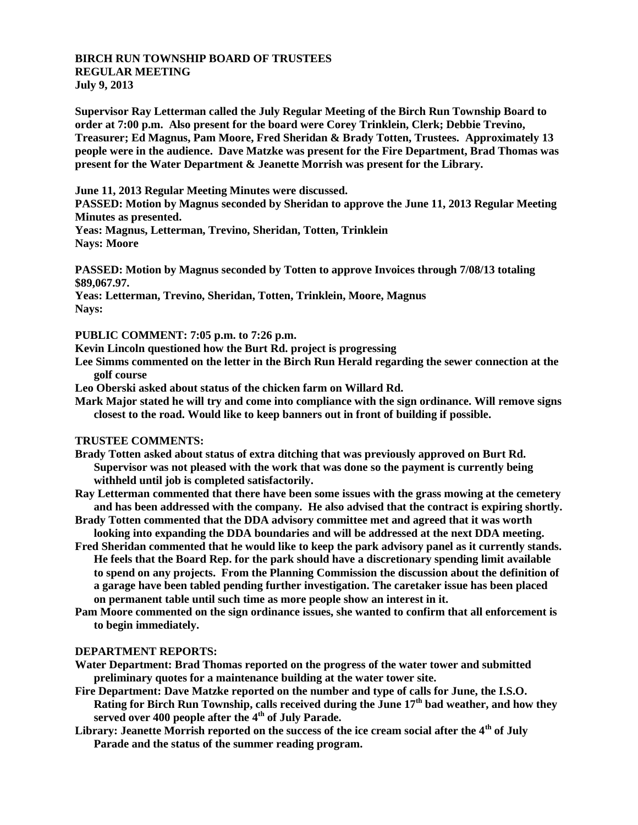## **BIRCH RUN TOWNSHIP BOARD OF TRUSTEES REGULAR MEETING July 9, 2013**

**Supervisor Ray Letterman called the July Regular Meeting of the Birch Run Township Board to order at 7:00 p.m. Also present for the board were Corey Trinklein, Clerk; Debbie Trevino, Treasurer; Ed Magnus, Pam Moore, Fred Sheridan & Brady Totten, Trustees. Approximately 13 people were in the audience. Dave Matzke was present for the Fire Department, Brad Thomas was present for the Water Department & Jeanette Morrish was present for the Library.**

**June 11, 2013 Regular Meeting Minutes were discussed.**

**PASSED: Motion by Magnus seconded by Sheridan to approve the June 11, 2013 Regular Meeting Minutes as presented.**

**Yeas: Magnus, Letterman, Trevino, Sheridan, Totten, Trinklein Nays: Moore**

**PASSED: Motion by Magnus seconded by Totten to approve Invoices through 7/08/13 totaling \$89,067.97.**

**Yeas: Letterman, Trevino, Sheridan, Totten, Trinklein, Moore, Magnus Nays:**

**PUBLIC COMMENT: 7:05 p.m. to 7:26 p.m.**

**Kevin Lincoln questioned how the Burt Rd. project is progressing**

- **Lee Simms commented on the letter in the Birch Run Herald regarding the sewer connection at the golf course**
- **Leo Oberski asked about status of the chicken farm on Willard Rd.**
- **Mark Major stated he will try and come into compliance with the sign ordinance. Will remove signs closest to the road. Would like to keep banners out in front of building if possible.**

## **TRUSTEE COMMENTS:**

- **Brady Totten asked about status of extra ditching that was previously approved on Burt Rd. Supervisor was not pleased with the work that was done so the payment is currently being withheld until job is completed satisfactorily.**
- **Ray Letterman commented that there have been some issues with the grass mowing at the cemetery and has been addressed with the company. He also advised that the contract is expiring shortly.**
- **Brady Totten commented that the DDA advisory committee met and agreed that it was worth looking into expanding the DDA boundaries and will be addressed at the next DDA meeting.**
- **Fred Sheridan commented that he would like to keep the park advisory panel as it currently stands. He feels that the Board Rep. for the park should have a discretionary spending limit available to spend on any projects. From the Planning Commission the discussion about the definition of a garage have been tabled pending further investigation. The caretaker issue has been placed on permanent table until such time as more people show an interest in it.**
- **Pam Moore commented on the sign ordinance issues, she wanted to confirm that all enforcement is to begin immediately.**

## **DEPARTMENT REPORTS:**

**Water Department: Brad Thomas reported on the progress of the water tower and submitted preliminary quotes for a maintenance building at the water tower site.**

**Fire Department: Dave Matzke reported on the number and type of calls for June, the I.S.O. Rating for Birch Run Township, calls received during the June 17th bad weather, and how they served over 400 people after the 4th of July Parade.**

**Library: Jeanette Morrish reported on the success of the ice cream social after the 4th of July Parade and the status of the summer reading program.**